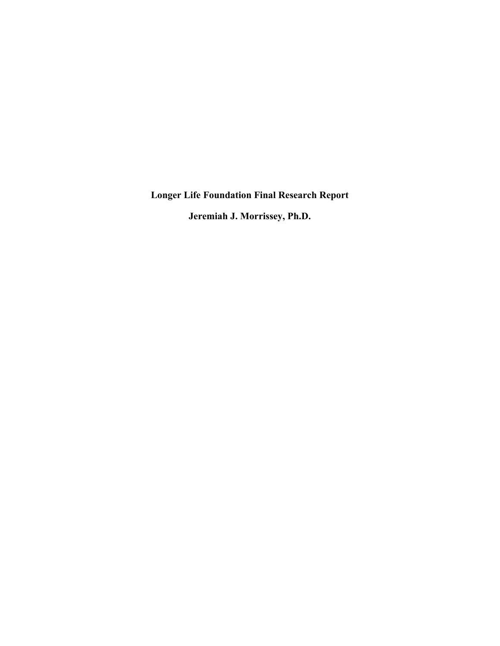**Longer Life Foundation Final Research Report**

**Jeremiah J. Morrissey, Ph.D.**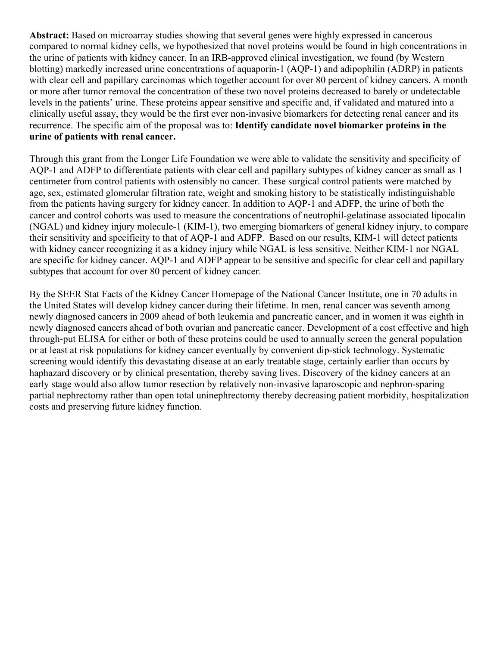Abstract: Based on microarray studies showing that several genes were highly expressed in cancerous compared to normal kidney cells, we hypothesized that novel proteins would be found in high concentrations in the urine of patients with kidney cancer. In an IRB-approved clinical investigation, we found (by Western blotting) markedly increased urine concentrations of aquaporin-1 (AQP-1) and adipophilin (ADRP) in patients with clear cell and papillary carcinomas which together account for over 80 percent of kidney cancers. A month or more after tumor removal the concentration of these two novel proteins decreased to barely or undetectable levels in the patients' urine. These proteins appear sensitive and specific and, if validated and matured into a clinically useful assay, they would be the first ever non-invasive biomarkers for detecting renal cancer and its recurrence. The specific aim of the proposal was to: **Identify candidate novel biomarker proteins in the urine of patients with renal cancer.**

Through this grant from the Longer Life Foundation we were able to validate the sensitivity and specificity of AQP-1 and ADFP to differentiate patients with clear cell and papillary subtypes of kidney cancer as small as 1 centimeter from control patients with ostensibly no cancer. These surgical control patients were matched by age, sex, estimated glomerular filtration rate, weight and smoking history to be statistically indistinguishable from the patients having surgery for kidney cancer. In addition to AQP-1 and ADFP, the urine of both the cancer and control cohorts was used to measure the concentrations of neutrophil-gelatinase associated lipocalin (NGAL) and kidney injury molecule-1 (KIM-1), two emerging biomarkers of general kidney injury, to compare their sensitivity and specificity to that of AQP-1 and ADFP. Based on our results, KIM-1 will detect patients with kidney cancer recognizing it as a kidney injury while NGAL is less sensitive. Neither KIM-1 nor NGAL are specific for kidney cancer. AQP-1 and ADFP appear to be sensitive and specific for clear cell and papillary subtypes that account for over 80 percent of kidney cancer.

By the SEER Stat Facts of the Kidney Cancer Homepage of the National Cancer Institute, one in 70 adults in the United States will develop kidney cancer during their lifetime. In men, renal cancer was seventh among newly diagnosed cancers in 2009 ahead of both leukemia and pancreatic cancer, and in women it was eighth in newly diagnosed cancers ahead of both ovarian and pancreatic cancer. Development of a cost effective and high through-put ELISA for either or both of these proteins could be used to annually screen the general population or at least at risk populations for kidney cancer eventually by convenient dip-stick technology. Systematic screening would identify this devastating disease at an early treatable stage, certainly earlier than occurs by haphazard discovery or by clinical presentation, thereby saving lives. Discovery of the kidney cancers at an early stage would also allow tumor resection by relatively non-invasive laparoscopic and nephron-sparing partial nephrectomy rather than open total uninephrectomy thereby decreasing patient morbidity, hospitalization costs and preserving future kidney function.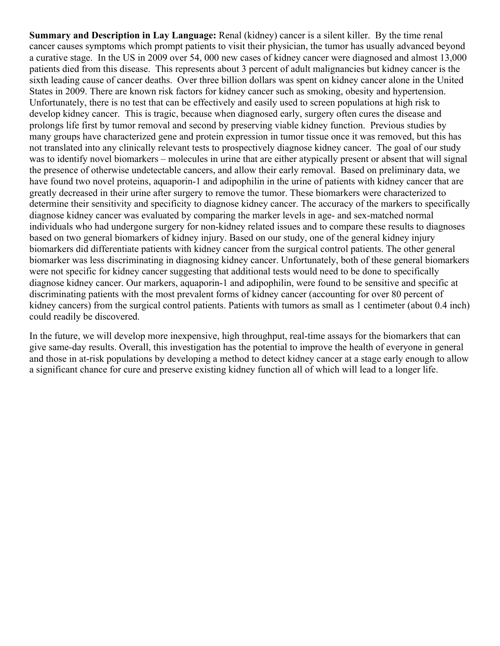**Summary and Description in Lay Language:** Renal (kidney) cancer is a silent killer. By the time renal cancer causes symptoms which prompt patients to visit their physician, the tumor has usually advanced beyond a curative stage. In the US in 2009 over 54, 000 new cases of kidney cancer were diagnosed and almost 13,000 patients died from this disease. This represents about 3 percent of adult malignancies but kidney cancer is the sixth leading cause of cancer deaths. Over three billion dollars was spent on kidney cancer alone in the United States in 2009. There are known risk factors for kidney cancer such as smoking, obesity and hypertension. Unfortunately, there is no test that can be effectively and easily used to screen populations at high risk to develop kidney cancer. This is tragic, because when diagnosed early, surgery often cures the disease and prolongs life first by tumor removal and second by preserving viable kidney function. Previous studies by many groups have characterized gene and protein expression in tumor tissue once it was removed, but this has not translated into any clinically relevant tests to prospectively diagnose kidney cancer. The goal of our study was to identify novel biomarkers – molecules in urine that are either atypically present or absent that will signal the presence of otherwise undetectable cancers, and allow their early removal. Based on preliminary data, we have found two novel proteins, aquaporin-1 and adipophilin in the urine of patients with kidney cancer that are greatly decreased in their urine after surgery to remove the tumor. These biomarkers were characterized to determine their sensitivity and specificity to diagnose kidney cancer. The accuracy of the markers to specifically diagnose kidney cancer was evaluated by comparing the marker levels in age- and sex-matched normal individuals who had undergone surgery for non-kidney related issues and to compare these results to diagnoses based on two general biomarkers of kidney injury. Based on our study, one of the general kidney injury biomarkers did differentiate patients with kidney cancer from the surgical control patients. The other general biomarker was less discriminating in diagnosing kidney cancer. Unfortunately, both of these general biomarkers were not specific for kidney cancer suggesting that additional tests would need to be done to specifically diagnose kidney cancer. Our markers, aquaporin-1 and adipophilin, were found to be sensitive and specific at discriminating patients with the most prevalent forms of kidney cancer (accounting for over 80 percent of kidney cancers) from the surgical control patients. Patients with tumors as small as 1 centimeter (about 0.4 inch) could readily be discovered.

In the future, we will develop more inexpensive, high throughput, real-time assays for the biomarkers that can give same-day results. Overall, this investigation has the potential to improve the health of everyone in general and those in at-risk populations by developing a method to detect kidney cancer at a stage early enough to allow a significant chance for cure and preserve existing kidney function all of which will lead to a longer life.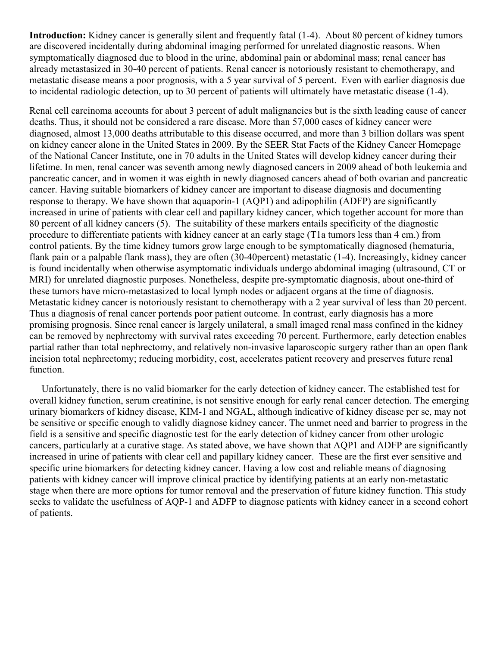**Introduction:** Kidney cancer is generally silent and frequently fatal (1-4). About 80 percent of kidney tumors are discovered incidentally during abdominal imaging performed for unrelated diagnostic reasons. When symptomatically diagnosed due to blood in the urine, abdominal pain or abdominal mass; renal cancer has already metastasized in 30-40 percent of patients. Renal cancer is notoriously resistant to chemotherapy, and metastatic disease means a poor prognosis, with a 5 year survival of 5 percent. Even with earlier diagnosis due to incidental radiologic detection, up to 30 percent of patients will ultimately have metastatic disease (1-4).

Renal cell carcinoma accounts for about 3 percent of adult malignancies but is the sixth leading cause of cancer deaths. Thus, it should not be considered a rare disease. More than 57,000 cases of kidney cancer were diagnosed, almost 13,000 deaths attributable to this disease occurred, and more than 3 billion dollars was spent on kidney cancer alone in the United States in 2009. By the SEER Stat Facts of the Kidney Cancer Homepage of the National Cancer Institute, one in 70 adults in the United States will develop kidney cancer during their lifetime. In men, renal cancer was seventh among newly diagnosed cancers in 2009 ahead of both leukemia and pancreatic cancer, and in women it was eighth in newly diagnosed cancers ahead of both ovarian and pancreatic cancer. Having suitable biomarkers of kidney cancer are important to disease diagnosis and documenting response to therapy. We have shown that aquaporin-1 (AQP1) and adipophilin (ADFP) are significantly increased in urine of patients with clear cell and papillary kidney cancer, which together account for more than 80 percent of all kidney cancers (5). The suitability of these markers entails specificity of the diagnostic procedure to differentiate patients with kidney cancer at an early stage (T1a tumors less than 4 cm.) from control patients. By the time kidney tumors grow large enough to be symptomatically diagnosed (hematuria, flank pain or a palpable flank mass), they are often (30-40percent) metastatic (1-4). Increasingly, kidney cancer is found incidentally when otherwise asymptomatic individuals undergo abdominal imaging (ultrasound, CT or MRI) for unrelated diagnostic purposes. Nonetheless, despite pre-symptomatic diagnosis, about one-third of these tumors have micro-metastasized to local lymph nodes or adjacent organs at the time of diagnosis. Metastatic kidney cancer is notoriously resistant to chemotherapy with a 2 year survival of less than 20 percent. Thus a diagnosis of renal cancer portends poor patient outcome. In contrast, early diagnosis has a more promising prognosis. Since renal cancer is largely unilateral, a small imaged renal mass confined in the kidney can be removed by nephrectomy with survival rates exceeding 70 percent. Furthermore, early detection enables partial rather than total nephrectomy, and relatively non-invasive laparoscopic surgery rather than an open flank incision total nephrectomy; reducing morbidity, cost, accelerates patient recovery and preserves future renal function.

 Unfortunately, there is no valid biomarker for the early detection of kidney cancer. The established test for overall kidney function, serum creatinine, is not sensitive enough for early renal cancer detection. The emerging urinary biomarkers of kidney disease, KIM-1 and NGAL, although indicative of kidney disease per se, may not be sensitive or specific enough to validly diagnose kidney cancer. The unmet need and barrier to progress in the field is a sensitive and specific diagnostic test for the early detection of kidney cancer from other urologic cancers, particularly at a curative stage. As stated above, we have shown that AQP1 and ADFP are significantly increased in urine of patients with clear cell and papillary kidney cancer. These are the first ever sensitive and specific urine biomarkers for detecting kidney cancer. Having a low cost and reliable means of diagnosing patients with kidney cancer will improve clinical practice by identifying patients at an early non-metastatic stage when there are more options for tumor removal and the preservation of future kidney function. This study seeks to validate the usefulness of AQP-1 and ADFP to diagnose patients with kidney cancer in a second cohort of patients.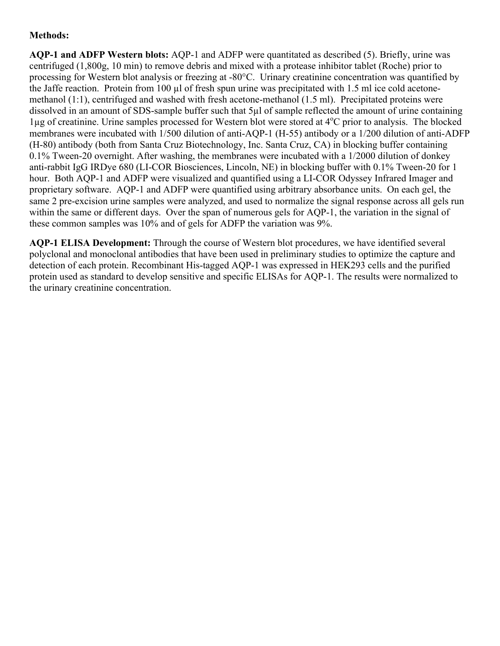# **Methods:**

**AQP-1 and ADFP Western blots:** AQP-1 and ADFP were quantitated as described (5). Briefly, urine was centrifuged (1,800g, 10 min) to remove debris and mixed with a protease inhibitor tablet (Roche) prior to processing for Western blot analysis or freezing at -80°C. Urinary creatinine concentration was quantified by the Jaffe reaction. Protein from 100 µl of fresh spun urine was precipitated with 1.5 ml ice cold acetonemethanol (1:1), centrifuged and washed with fresh acetone-methanol (1.5 ml). Precipitated proteins were dissolved in an amount of SDS-sample buffer such that 5µl of sample reflected the amount of urine containing lug of creatinine. Urine samples processed for Western blot were stored at 4<sup>o</sup>C prior to analysis. The blocked membranes were incubated with 1/500 dilution of anti-AQP-1 (H-55) antibody or a 1/200 dilution of anti-ADFP (H-80) antibody (both from Santa Cruz Biotechnology, Inc. Santa Cruz, CA) in blocking buffer containing 0.1% Tween-20 overnight. After washing, the membranes were incubated with a 1/2000 dilution of donkey anti-rabbit IgG IRDye 680 (LI-COR Biosciences, Lincoln, NE) in blocking buffer with 0.1% Tween-20 for 1 hour. Both AQP-1 and ADFP were visualized and quantified using a LI-COR Odyssey Infrared Imager and proprietary software. AQP-1 and ADFP were quantified using arbitrary absorbance units. On each gel, the same 2 pre-excision urine samples were analyzed, and used to normalize the signal response across all gels run within the same or different days. Over the span of numerous gels for AQP-1, the variation in the signal of these common samples was 10% and of gels for ADFP the variation was 9%.

**AQP-1 ELISA Development:** Through the course of Western blot procedures, we have identified several polyclonal and monoclonal antibodies that have been used in preliminary studies to optimize the capture and detection of each protein. Recombinant His-tagged AQP-1 was expressed in HEK293 cells and the purified protein used as standard to develop sensitive and specific ELISAs for AQP-1. The results were normalized to the urinary creatinine concentration.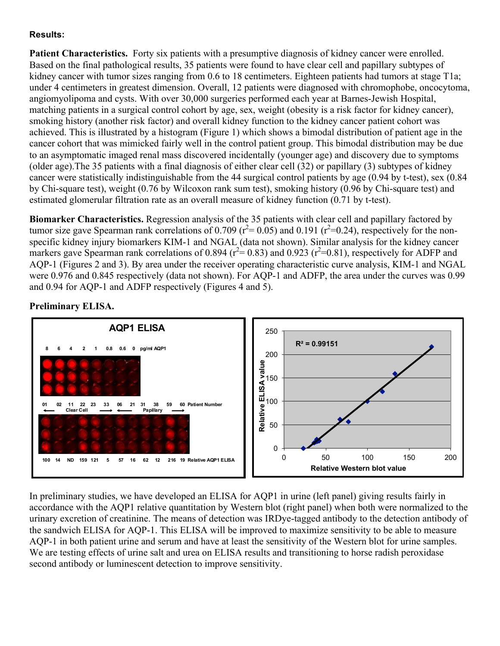## **Results:**

**Patient Characteristics.** Forty six patients with a presumptive diagnosis of kidney cancer were enrolled. Based on the final pathological results, 35 patients were found to have clear cell and papillary subtypes of kidney cancer with tumor sizes ranging from 0.6 to 18 centimeters. Eighteen patients had tumors at stage T1a; under 4 centimeters in greatest dimension. Overall, 12 patients were diagnosed with chromophobe, oncocytoma, angiomyolipoma and cysts. With over 30,000 surgeries performed each year at Barnes-Jewish Hospital, matching patients in a surgical control cohort by age, sex, weight (obesity is a risk factor for kidney cancer), smoking history (another risk factor) and overall kidney function to the kidney cancer patient cohort was achieved. This is illustrated by a histogram (Figure 1) which shows a bimodal distribution of patient age in the cancer cohort that was mimicked fairly well in the control patient group. This bimodal distribution may be due to an asymptomatic imaged renal mass discovered incidentally (younger age) and discovery due to symptoms (older age).The 35 patients with a final diagnosis of either clear cell (32) or papillary (3) subtypes of kidney cancer were statistically indistinguishable from the 44 surgical control patients by age (0.94 by t-test), sex (0.84 by Chi-square test), weight (0.76 by Wilcoxon rank sum test), smoking history (0.96 by Chi-square test) and estimated glomerular filtration rate as an overall measure of kidney function (0.71 by t-test).

**Biomarker Characteristics.** Regression analysis of the 35 patients with clear cell and papillary factored by tumor size gave Spearman rank correlations of 0.709 ( $r^2$  = 0.05) and 0.191 ( $r^2$  = 0.24), respectively for the nonspecific kidney injury biomarkers KIM-1 and NGAL (data not shown). Similar analysis for the kidney cancer markers gave Spearman rank correlations of 0.894 ( $r^2$  = 0.83) and 0.923 ( $r^2$  = 0.81), respectively for ADFP and AQP-1 (Figures 2 and 3). By area under the receiver operating characteristic curve analysis, KIM-1 and NGAL were 0.976 and 0.845 respectively (data not shown). For AQP-1 and ADFP, the area under the curves was 0.99 and 0.94 for AQP-1 and ADFP respectively (Figures 4 and 5).



## **Preliminary ELISA.**

In preliminary studies, we have developed an ELISA for AQP1 in urine (left panel) giving results fairly in accordance with the AQP1 relative quantitation by Western blot (right panel) when both were normalized to the urinary excretion of creatinine. The means of detection was IRDye-tagged antibody to the detection antibody of the sandwich ELISA for AQP-1. This ELISA will be improved to maximize sensitivity to be able to measure AQP-1 in both patient urine and serum and have at least the sensitivity of the Western blot for urine samples. We are testing effects of urine salt and urea on ELISA results and transitioning to horse radish peroxidase second antibody or luminescent detection to improve sensitivity.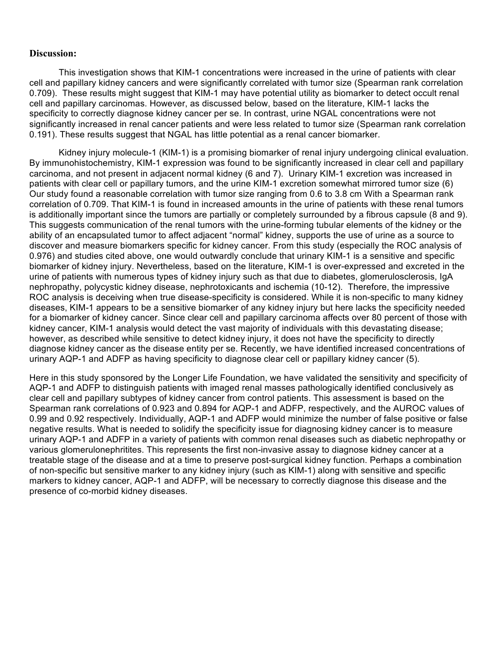### **Discussion:**

This investigation shows that KIM-1 concentrations were increased in the urine of patients with clear cell and papillary kidney cancers and were significantly correlated with tumor size (Spearman rank correlation 0.709). These results might suggest that KIM-1 may have potential utility as biomarker to detect occult renal cell and papillary carcinomas. However, as discussed below, based on the literature, KIM-1 lacks the specificity to correctly diagnose kidney cancer per se. In contrast, urine NGAL concentrations were not significantly increased in renal cancer patients and were less related to tumor size (Spearman rank correlation 0.191). These results suggest that NGAL has little potential as a renal cancer biomarker.

Kidney injury molecule-1 (KIM-1) is a promising biomarker of renal injury undergoing clinical evaluation. By immunohistochemistry, KIM-1 expression was found to be significantly increased in clear cell and papillary carcinoma, and not present in adjacent normal kidney (6 and 7). Urinary KIM-1 excretion was increased in patients with clear cell or papillary tumors, and the urine KIM-1 excretion somewhat mirrored tumor size (6) Our study found a reasonable correlation with tumor size ranging from 0.6 to 3.8 cm With a Spearman rank correlation of 0.709. That KIM-1 is found in increased amounts in the urine of patients with these renal tumors is additionally important since the tumors are partially or completely surrounded by a fibrous capsule (8 and 9). This suggests communication of the renal tumors with the urine-forming tubular elements of the kidney or the ability of an encapsulated tumor to affect adjacent "normal" kidney, supports the use of urine as a source to discover and measure biomarkers specific for kidney cancer. From this study (especially the ROC analysis of 0.976) and studies cited above, one would outwardly conclude that urinary KIM-1 is a sensitive and specific biomarker of kidney injury. Nevertheless, based on the literature, KIM-1 is over-expressed and excreted in the urine of patients with numerous types of kidney injury such as that due to diabetes, glomerulosclerosis, IgA nephropathy, polycystic kidney disease, nephrotoxicants and ischemia (10-12). Therefore, the impressive ROC analysis is deceiving when true disease-specificity is considered. While it is non-specific to many kidney diseases, KIM-1 appears to be a sensitive biomarker of any kidney injury but here lacks the specificity needed for a biomarker of kidney cancer. Since clear cell and papillary carcinoma affects over 80 percent of those with kidney cancer, KIM-1 analysis would detect the vast majority of individuals with this devastating disease; however, as described while sensitive to detect kidney injury, it does not have the specificity to directly diagnose kidney cancer as the disease entity per se. Recently, we have identified increased concentrations of urinary AQP-1 and ADFP as having specificity to diagnose clear cell or papillary kidney cancer (5).

Here in this study sponsored by the Longer Life Foundation, we have validated the sensitivity and specificity of AQP-1 and ADFP to distinguish patients with imaged renal masses pathologically identified conclusively as clear cell and papillary subtypes of kidney cancer from control patients. This assessment is based on the Spearman rank correlations of 0.923 and 0.894 for AQP-1 and ADFP, respectively, and the AUROC values of 0.99 and 0.92 respectively. Individually, AQP-1 and ADFP would minimize the number of false positive or false negative results. What is needed to solidify the specificity issue for diagnosing kidney cancer is to measure urinary AQP-1 and ADFP in a variety of patients with common renal diseases such as diabetic nephropathy or various glomerulonephritites. This represents the first non-invasive assay to diagnose kidney cancer at a treatable stage of the disease and at a time to preserve post-surgical kidney function. Perhaps a combination of non-specific but sensitive marker to any kidney injury (such as KIM-1) along with sensitive and specific markers to kidney cancer, AQP-1 and ADFP, will be necessary to correctly diagnose this disease and the presence of co-morbid kidney diseases.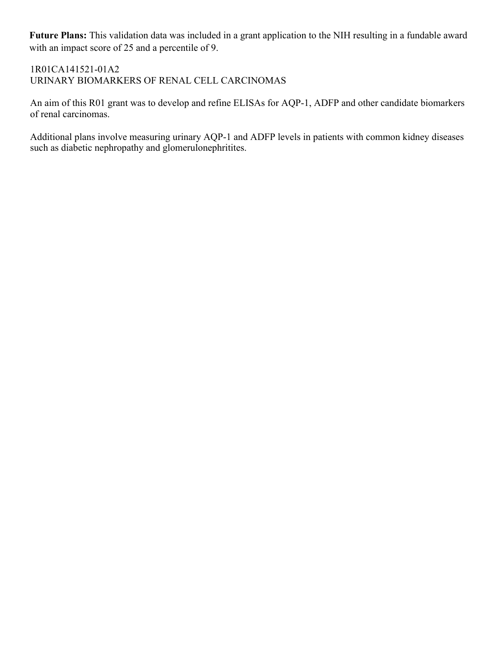**Future Plans:** This validation data was included in a grant application to the NIH resulting in a fundable award with an impact score of 25 and a percentile of 9.

# 1R01CA141521-01A2 URINARY BIOMARKERS OF RENAL CELL CARCINOMAS

An aim of this R01 grant was to develop and refine ELISAs for AQP-1, ADFP and other candidate biomarkers of renal carcinomas.

Additional plans involve measuring urinary AQP-1 and ADFP levels in patients with common kidney diseases such as diabetic nephropathy and glomerulonephritites.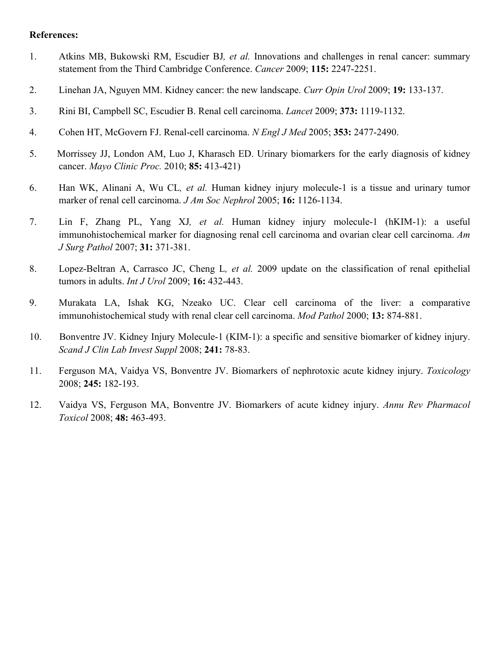#### **References:**

- 1. Atkins MB, Bukowski RM, Escudier BJ*, et al.* Innovations and challenges in renal cancer: summary statement from the Third Cambridge Conference. *Cancer* 2009; **115:** 2247-2251.
- 2. Linehan JA, Nguyen MM. Kidney cancer: the new landscape. *Curr Opin Urol* 2009; **19:** 133-137.
- 3. Rini BI, Campbell SC, Escudier B. Renal cell carcinoma. *Lancet* 2009; **373:** 1119-1132.
- 4. Cohen HT, McGovern FJ. Renal-cell carcinoma. *N Engl J Med* 2005; **353:** 2477-2490.
- 5. Morrissey JJ, London AM, Luo J, Kharasch ED. Urinary biomarkers for the early diagnosis of kidney cancer. *Mayo Clinic Proc.* 2010; **85:** 413-421)
- 6. Han WK, Alinani A, Wu CL*, et al.* Human kidney injury molecule-1 is a tissue and urinary tumor marker of renal cell carcinoma. *J Am Soc Nephrol* 2005; **16:** 1126-1134.
- 7. Lin F, Zhang PL, Yang XJ*, et al.* Human kidney injury molecule-1 (hKIM-1): a useful immunohistochemical marker for diagnosing renal cell carcinoma and ovarian clear cell carcinoma. *Am J Surg Pathol* 2007; **31:** 371-381.
- 8. Lopez-Beltran A, Carrasco JC, Cheng L*, et al.* 2009 update on the classification of renal epithelial tumors in adults. *Int J Urol* 2009; **16:** 432-443.
- 9. Murakata LA, Ishak KG, Nzeako UC. Clear cell carcinoma of the liver: a comparative immunohistochemical study with renal clear cell carcinoma. *Mod Pathol* 2000; **13:** 874-881.
- 10. Bonventre JV. Kidney Injury Molecule-1 (KIM-1): a specific and sensitive biomarker of kidney injury. *Scand J Clin Lab Invest Suppl* 2008; **241:** 78-83.
- 11. Ferguson MA, Vaidya VS, Bonventre JV. Biomarkers of nephrotoxic acute kidney injury. *Toxicology* 2008; **245:** 182-193.
- 12. Vaidya VS, Ferguson MA, Bonventre JV. Biomarkers of acute kidney injury. *Annu Rev Pharmacol Toxicol* 2008; **48:** 463-493.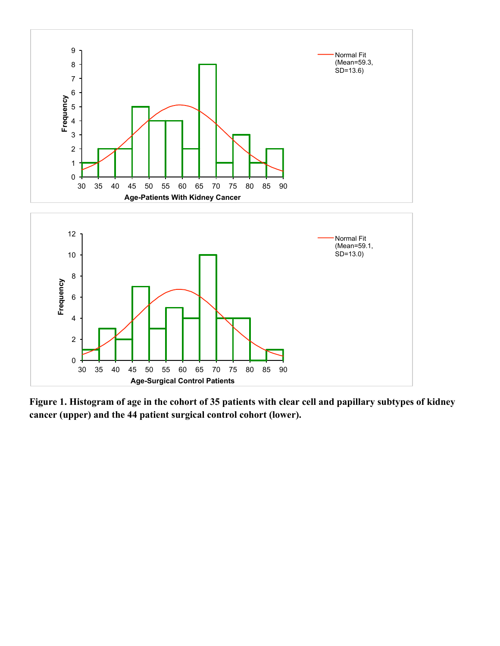

**Figure 1. Histogram of age in the cohort of 35 patients with clear cell and papillary subtypes of kidney cancer (upper) and the 44 patient surgical control cohort (lower).**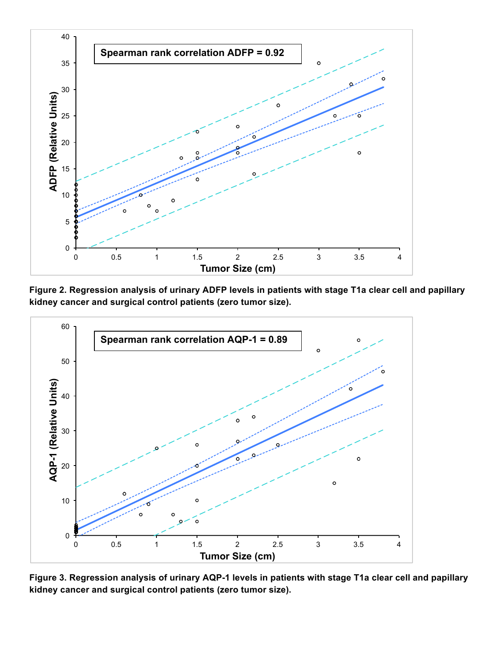

**Figure 2. Regression analysis of urinary ADFP levels in patients with stage T1a clear cell and papillary kidney cancer and surgical control patients (zero tumor size).**



**Figure 3. Regression analysis of urinary AQP-1 levels in patients with stage T1a clear cell and papillary kidney cancer and surgical control patients (zero tumor size).**